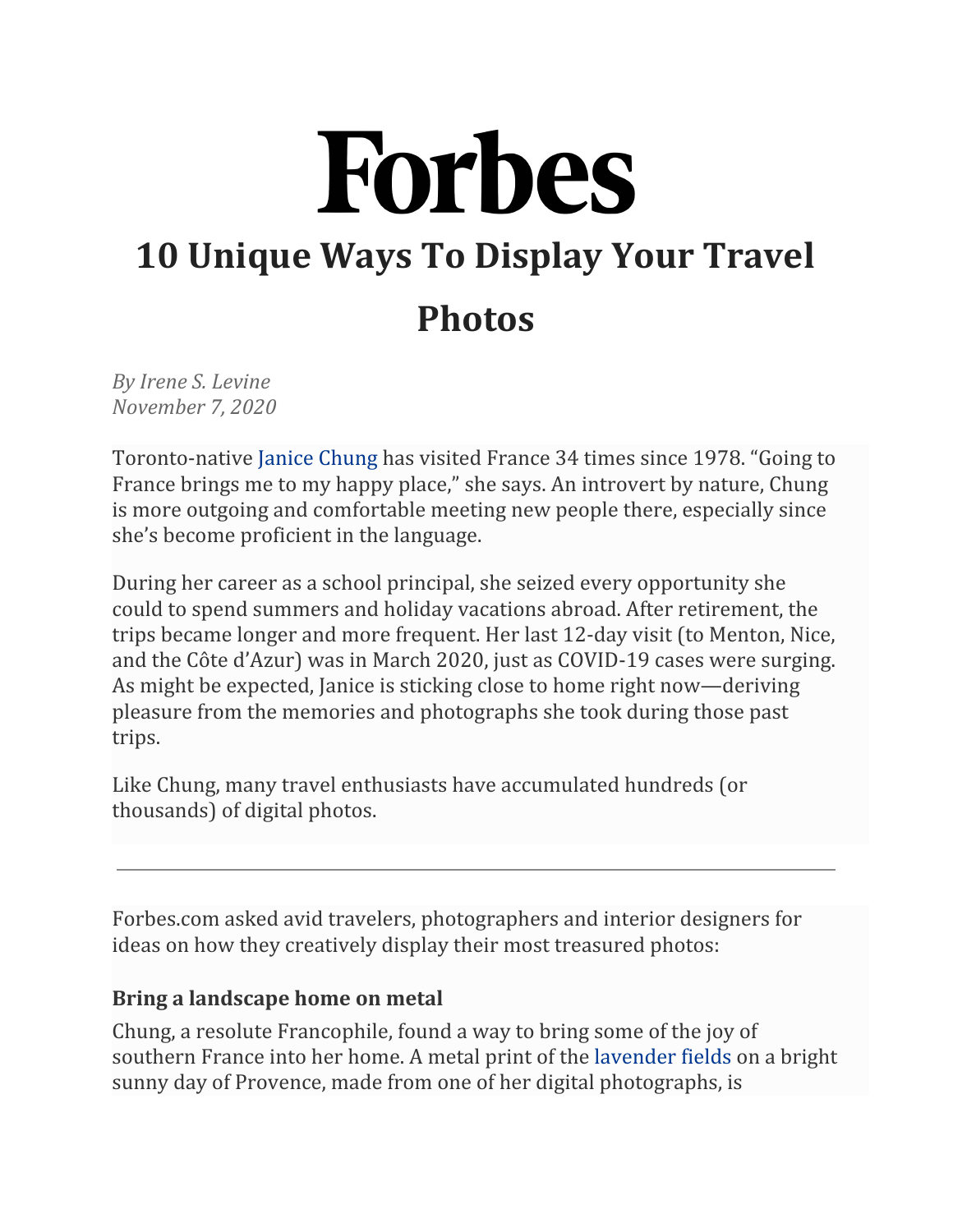# Forbes **10 Unique Ways To Display Your Travel Photos**

*By Irene S. Levine November 7, 2020*

Toronto-native Janice [Chung](https://www.francetraveltips.com/) has visited France 34 times since 1978. "Going to France brings me to my happy place," she says. An introvert by nature, Chung is more outgoing and comfortable meeting new people there, especially since she's become proficient in the language.

During her career as a school principal, she seized every opportunity she could to spend summers and holiday vacations abroad. After retirement, the trips became longer and more frequent. Her last 12-day visit (to Menton, Nice, and the Côte d'Azur) was in March 2020, just as COVID-19 cases were surging. As might be expected, Janice is sticking close to home right now—deriving pleasure from the memories and photographs she took during those past trips.

Like Chung, many travel enthusiasts have accumulated hundreds (or thousands) of digital photos.

Forbes.com asked avid travelers, photographers and interior designers for ideas on how they creatively display their most treasured photos:

# **Bring a landscape home on metal**

Chung, a resolute Francophile, found a way to bring some of the joy of southern France into her home. A metal print of the [lavender](https://www.francetraveltips.com/where-you-can-find-lavender-in-provence/) fields on a bright sunny day of Provence, made from one of her digital photographs, is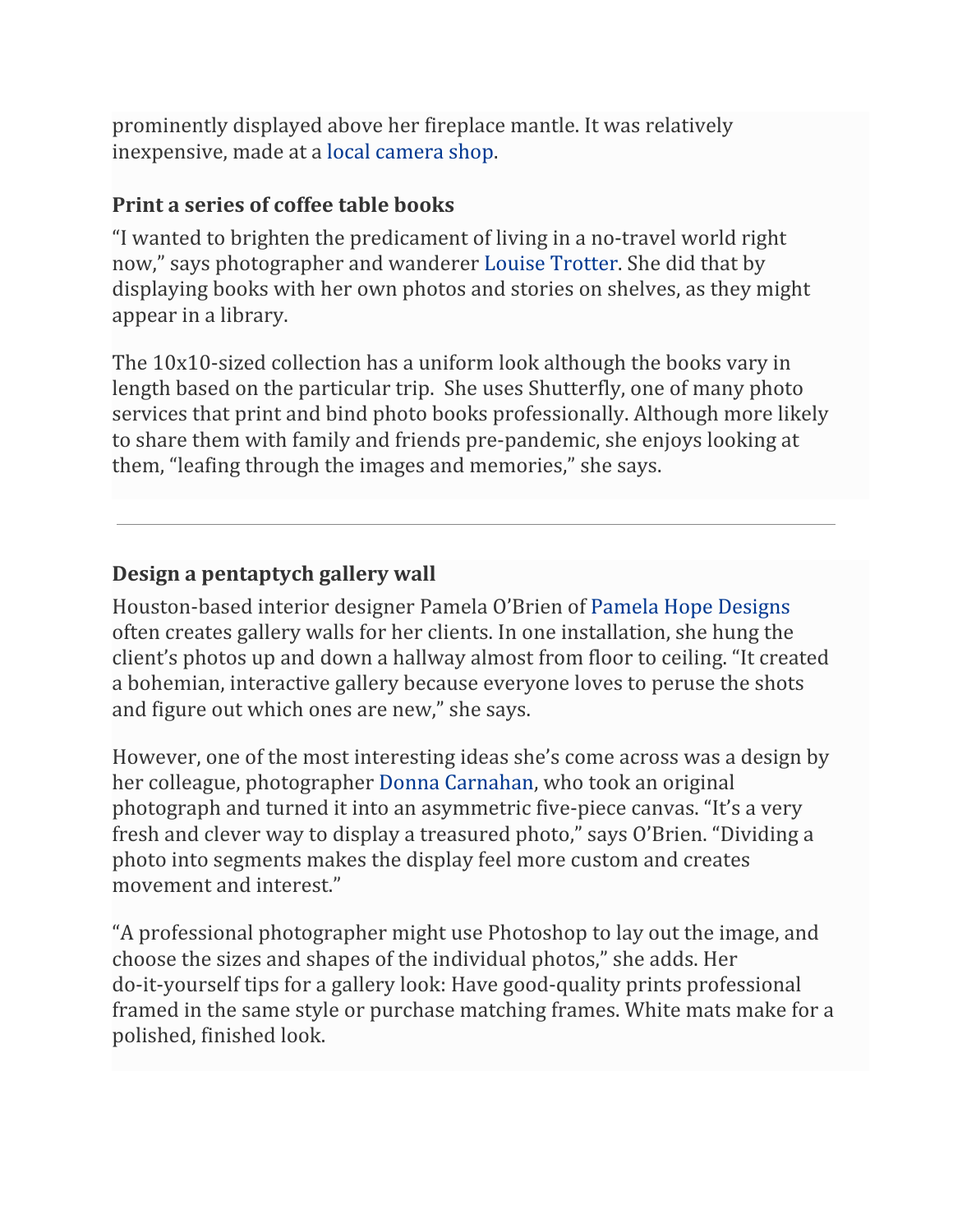prominently displayed above her fireplace mantle. It was relatively inexpensive, made at a local [camera](https://www.henrys.com/) shop.

#### **Print a series of coffee table books**

"I wanted to brighten the predicament of living in a no-travel world right now," says photographer and wanderer Louise [Trotter.](https://www.louisetrotter.photo/about-me) She did that by displaying books with her own photos and stories on shelves, as they might appear in a library.

The 10x10-sized collection has a uniform look although the books vary in length based on the particular trip. She uses Shutterfly, one of many photo services that print and bind photo books professionally. Although more likely to share them with family and friends pre-pandemic, she enjoys looking at them, "leafing through the images and memories," she says.

#### **Design a pentaptych gallery wall**

Houston-based interior designer Pamela O'Brien of Pamela Hope [Designs](https://pamelahopedesigns.com/) often creates gallery walls for her clients. In one installation, she hung the client's photos up and down a hallway almost from floor to ceiling. "It created a bohemian, interactive gallery because everyone loves to peruse the shots and figure out which ones are new," she says.

However, one of the most interesting ideas she's come across was a design by her colleague, photographer Donna [Carnahan,](https://www.linkedin.com/in/donna-carnahan-3a0955b/) who took an original photograph and turned it into an asymmetric five-piece canvas. "It's a very fresh and clever way to display a treasured photo," says O'Brien. "Dividing a photo into segments makes the display feel more custom and creates movement and interest."

"A professional photographer might use Photoshop to lay out the image, and choose the sizes and shapes of the individual photos," she adds. Her do-it-yourself tips for a gallery look: Have good-quality prints professional framed in the same style or purchase matching frames. White mats make for a polished, finished look.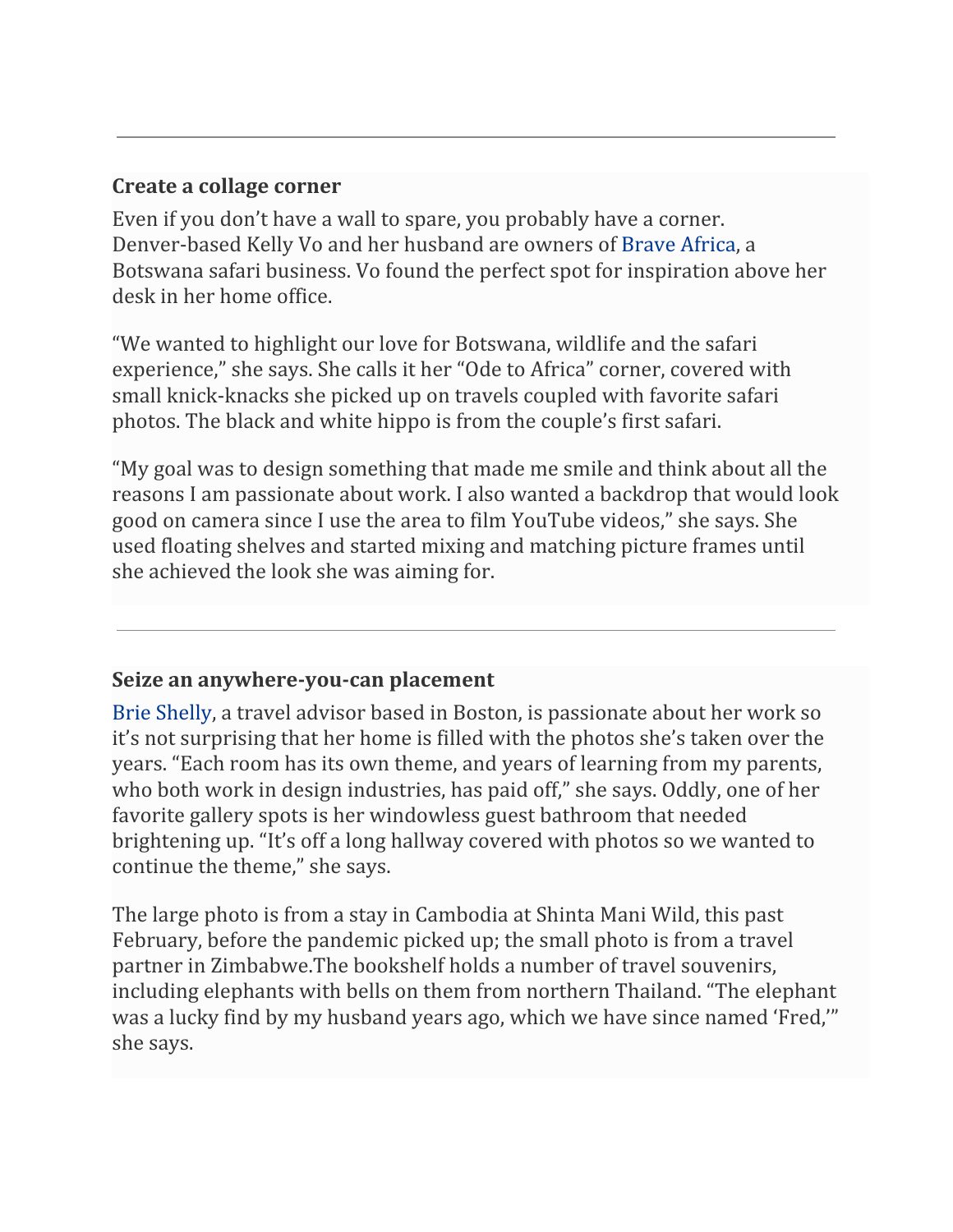#### **Create a collage corner**

Even if you don't have a wall to spare, you probably have a corner. Denver-based Kelly Vo and her husband are owners of Brave [Africa,](https://braveafrica.com/) a Botswana safari business. Vo found the perfect spot for inspiration above her desk in her home office.

"We wanted to highlight our love for Botswana, wildlife and the safari experience," she says. She calls it her "Ode to Africa" corner, covered with small knick-knacks she picked up on travels coupled with favorite safari photos. The black and white hippo is from the couple's first safari.

"My goal was to design something that made me smile and think about all the reasons I am passionate about work. I also wanted a backdrop that would look good on camera since I use the area to film YouTube videos," she says. She used floating shelves and started mixing and matching picture frames until she achieved the look she was aiming for.

#### **Seize an anywhere-you-can placement**

Brie [Shelly](https://www.brieshelly.com/), a travel advisor based in Boston, is passionate about her work so it's not surprising that her home is filled with the photos she's taken over the years. "Each room has its own theme, and years of learning from my parents, who both work in design industries, has paid off," she says. Oddly, one of her favorite gallery spots is her windowless guest bathroom that needed brightening up. "It's off a long hallway covered with photos so we wanted to continue the theme," she says.

The large photo is from a stay in Cambodia at Shinta Mani Wild, this past February, before the pandemic picked up; the small photo is from a travel partner in Zimbabwe.The bookshelf holds a number of travel souvenirs, including elephants with bells on them from northern Thailand. "The elephant was a lucky find by my husband years ago, which we have since named 'Fred,'" she says.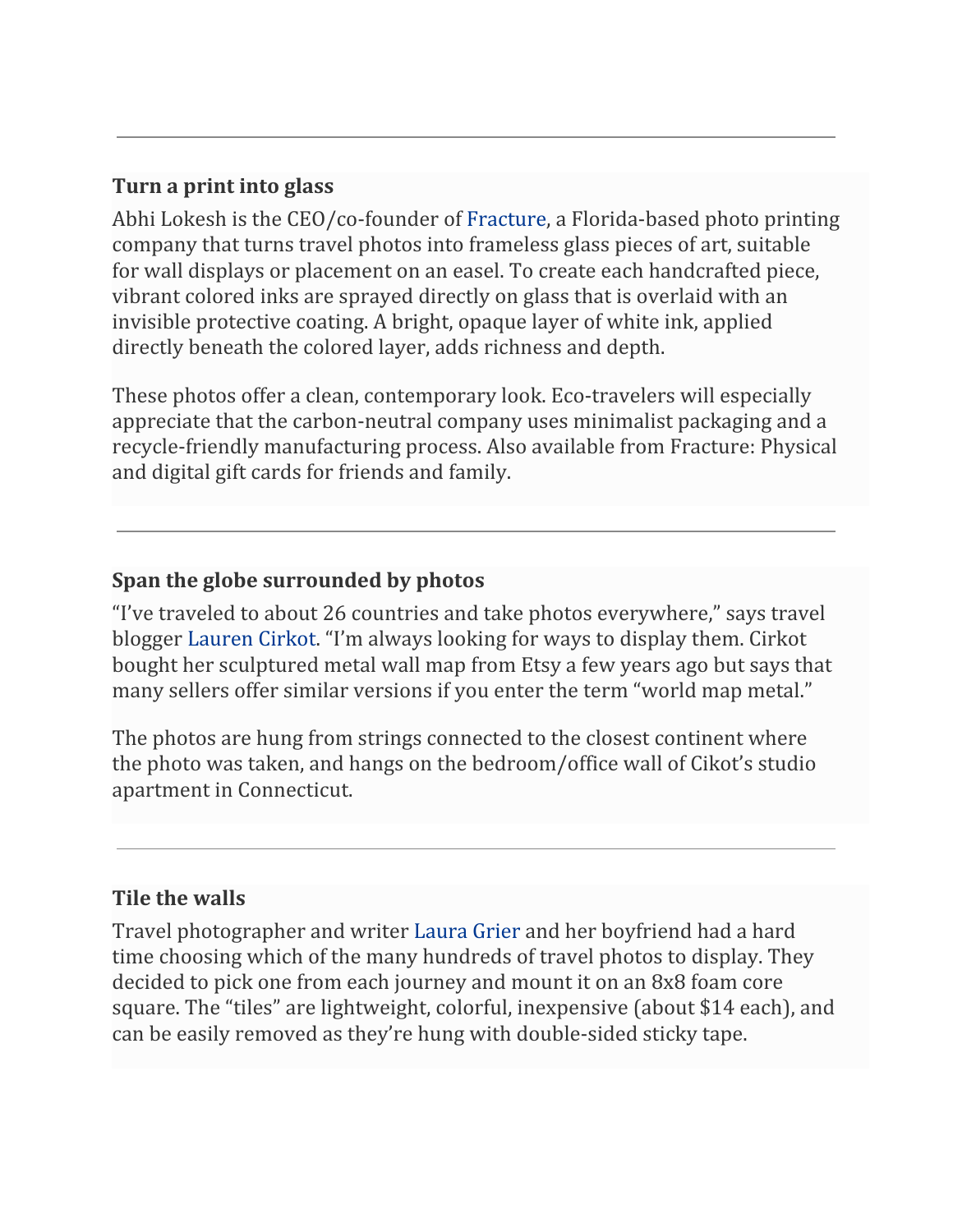## **Turn a print into glass**

Abhi Lokesh is the CEO/co-founder of [Fracture](https://fractureme.com/), a Florida-based photo printing company that turns travel photos into frameless glass pieces of art, suitable for wall displays or placement on an easel. To create each handcrafted piece, vibrant colored inks are sprayed directly on glass that is overlaid with an invisible protective coating. A bright, opaque layer of white ink, applied directly beneath the colored layer, adds richness and depth.

These photos offer a clean, contemporary look. Eco-travelers will especially appreciate that the carbon-neutral company uses minimalist packaging and a recycle-friendly manufacturing process. Also available from Fracture: Physical and digital gift cards for friends and family.

## **Span the globe surrounded by photos**

"I've traveled to about 26 countries and take photos everywhere," says travel blogger [Lauren](https://www.alwaysfindadventure.com/) Cirkot. "I'm always looking for ways to display them. Cirkot bought her sculptured metal wall map from Etsy a few years ago but says that many sellers offer similar versions if you enter the term "world map metal."

The photos are hung from strings connected to the closest continent where the photo was taken, and hangs on the bedroom/office wall of Cikot's studio apartment in Connecticut.

#### **Tile the walls**

Travel photographer and writer [Laura](https://www.lauragrier.com/Home) Grier and her boyfriend had a hard time choosing which of the many hundreds of travel photos to display. They decided to pick one from each journey and mount it on an 8x8 foam core square. The "tiles" are lightweight, colorful, inexpensive (about \$14 each), and can be easily removed as they're hung with double-sided sticky tape.